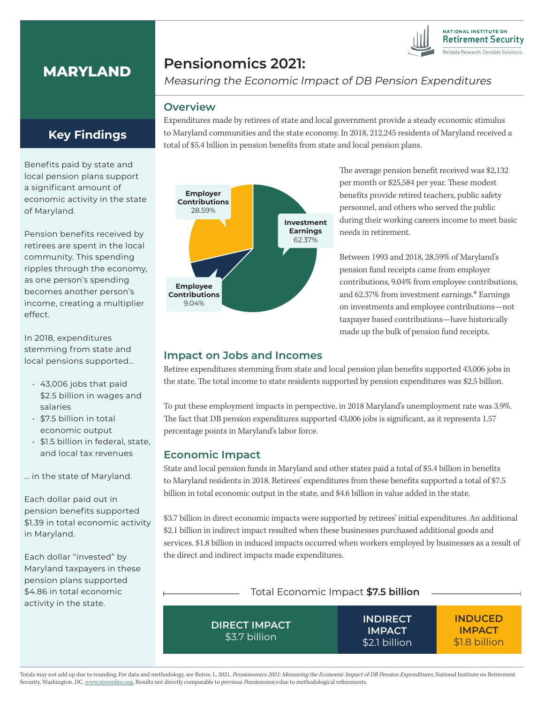

# **MARYLAND**

# **Pensionomics 2021:**

Measuring the Economic Impact of DB Pension Expenditures

### **Overview**

Expenditures made by retirees of state and local government provide a steady economic stimulus to Maryland communities and the state economy. In 2018, 212,245 residents of Maryland received a total of \$5.4 billion in pension benefits from state and local pension plans.



The average pension benefit received was \$2,132 per month or \$25,584 per year. These modest benefits provide retired teachers, public safety personnel, and others who served the public during their working careers income to meet basic needs in retirement.

Between 1993 and 2018, 28.59% of Maryland's pension fund receipts came from employer contributions, 9.04% from employee contributions, and 62.37% from investment earnings.\* Earnings on investments and employee contributions—not taxpayer based contributions—have historically made up the bulk of pension fund receipts.

## **Impact on Jobs and Incomes**

Retiree expenditures stemming from state and local pension plan benefits supported 43,006 jobs in the state. The total income to state residents supported by pension expenditures was \$2.5 billion.

To put these employment impacts in perspective, in 2018 Maryland's unemployment rate was 3.9%. The fact that DB pension expenditures supported 43,006 jobs is significant, as it represents 1.57 percentage points in Maryland's labor force.

## **Economic Impact**

State and local pension funds in Maryland and other states paid a total of \$5.4 billion in benefits to Maryland residents in 2018. Retirees' expenditures from these benefits supported a total of \$7.5 billion in total economic output in the state, and \$4.6 billion in value added in the state.

\$3.7 billion in direct economic impacts were supported by retirees' initial expenditures. An additional \$2.1 billion in indirect impact resulted when these businesses purchased additional goods and services. \$1.8 billion in induced impacts occurred when workers employed by businesses as a result of the direct and indirect impacts made expenditures.

| Total Economic Impact \$7.5 billion |  |
|-------------------------------------|--|
|-------------------------------------|--|

| <b>DIRECT IMPACT</b><br>\$3.7 billion | <b>INDIRECT</b><br><b>IMPACT</b><br>\$2.1 billion | <b>INDUCED</b><br><b>IMPACT</b><br>\$1.8 billion |
|---------------------------------------|---------------------------------------------------|--------------------------------------------------|
|---------------------------------------|---------------------------------------------------|--------------------------------------------------|

**Key Findings**

Benefits paid by state and local pension plans support a significant amount of economic activity in the state of Maryland.

Pension benefits received by retirees are spent in the local community. This spending ripples through the economy, as one person's spending becomes another person's income, creating a multiplier effect.

In 2018, expenditures stemming from state and local pensions supported…

- 43,006 jobs that paid \$2.5 billion in wages and salaries
- \$7.5 billion in total economic output
- \$1.5 billion in federal, state, and local tax revenues

… in the state of Maryland.

Each dollar paid out in pension benefits supported \$1.39 in total economic activity in Maryland.

Each dollar "invested" by Maryland taxpayers in these pension plans supported \$4.86 in total economic activity in the state.

Totals may not add up due to rounding. For data and methodology, see Boivie, I., 2021, Pensionomics 2021: Measuring the Economic Impact of DB Pension Expenditures, National Institute on Retirement Security, Washington, DC, www.nirsonline.org. Results not directly comparable to previous Pensionomics due to methodological refinements.